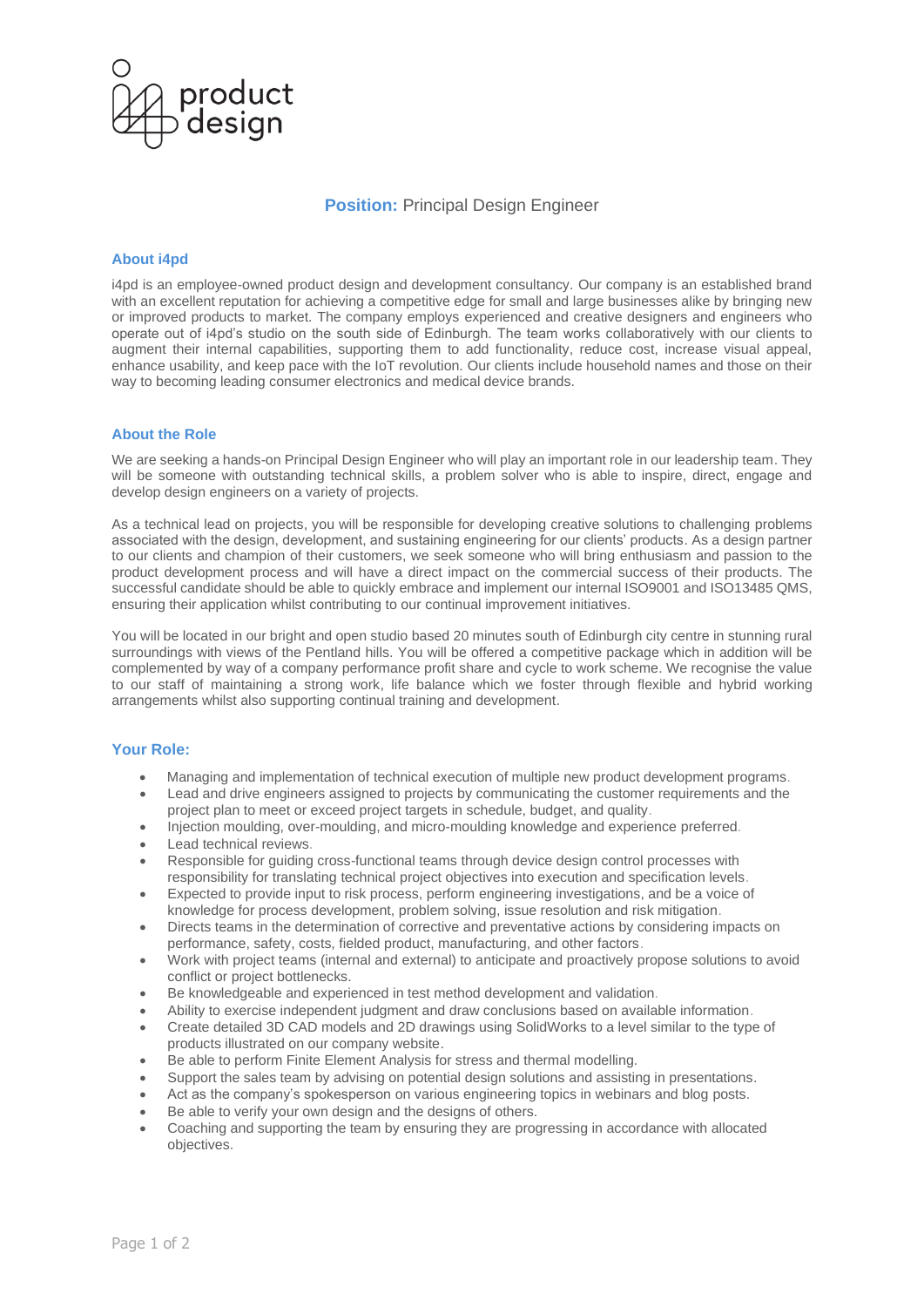

## **Position: Principal Design Engineer**

### **About i4pd**

i4pd is an employee-owned product design and development consultancy. Our company is an established brand with an excellent reputation for achieving a competitive edge for small and large businesses alike by bringing new or improved products to market. The company employs experienced and creative designers and engineers who operate out of i4pd's studio on the south side of Edinburgh. The team works collaboratively with our clients to augment their internal capabilities, supporting them to add functionality, reduce cost, increase visual appeal, enhance usability, and keep pace with the IoT revolution. Our clients include household names and those on their way to becoming leading consumer electronics and medical device brands.

## **About the Role**

We are seeking a hands-on Principal Design Engineer who will play an important role in our leadership team. They will be someone with outstanding technical skills, a problem solver who is able to inspire, direct, engage and develop design engineers on a variety of projects.

As a technical lead on projects, you will be responsible for developing creative solutions to challenging problems associated with the design, development, and sustaining engineering for our clients' products. As a design partner to our clients and champion of their customers, we seek someone who will bring enthusiasm and passion to the product development process and will have a direct impact on the commercial success of their products. The successful candidate should be able to quickly embrace and implement our internal ISO9001 and ISO13485 QMS, ensuring their application whilst contributing to our continual improvement initiatives.

You will be located in our bright and open studio based 20 minutes south of Edinburgh city centre in stunning rural surroundings with views of the Pentland hills. You will be offered a competitive package which in addition will be complemented by way of a company performance profit share and cycle to work scheme. We recognise the value to our staff of maintaining a strong work, life balance which we foster through flexible and hybrid working arrangements whilst also supporting continual training and development.

### **Your Role:**

- Managing and implementation of technical execution of multiple new product development programs.
- Lead and drive engineers assigned to projects by communicating the customer requirements and the project plan to meet or exceed project targets in schedule, budget, and quality.
- Injection moulding, over-moulding, and micro-moulding knowledge and experience preferred.
- Lead technical reviews.
- Responsible for guiding cross-functional teams through device design control processes with responsibility for translating technical project objectives into execution and specification levels.
- Expected to provide input to risk process, perform engineering investigations, and be a voice of knowledge for process development, problem solving, issue resolution and risk mitigation.
- Directs teams in the determination of corrective and preventative actions by considering impacts on performance, safety, costs, fielded product, manufacturing, and other factors.
- Work with project teams (internal and external) to anticipate and proactively propose solutions to avoid conflict or project bottlenecks.
- Be knowledgeable and experienced in test method development and validation.
- Ability to exercise independent judgment and draw conclusions based on available information.
- Create detailed 3D CAD models and 2D drawings using SolidWorks to a level similar to the type of products illustrated on our company website.
- Be able to perform Finite Element Analysis for stress and thermal modelling.
- Support the sales team by advising on potential design solutions and assisting in presentations.
- Act as the company's spokesperson on various engineering topics in webinars and blog posts.
- Be able to verify your own design and the designs of others.
- Coaching and supporting the team by ensuring they are progressing in accordance with allocated objectives.